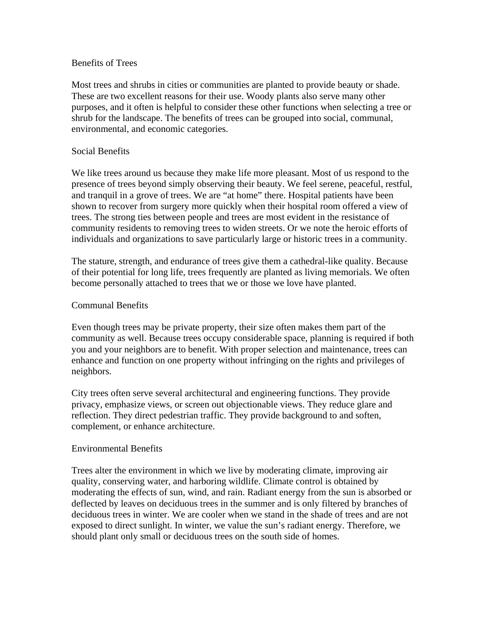## Benefits of Trees

Most trees and shrubs in cities or communities are planted to provide beauty or shade. These are two excellent reasons for their use. Woody plants also serve many other purposes, and it often is helpful to consider these other functions when selecting a tree or shrub for the landscape. The benefits of trees can be grouped into social, communal, environmental, and economic categories.

## Social Benefits

We like trees around us because they make life more pleasant. Most of us respond to the presence of trees beyond simply observing their beauty. We feel serene, peaceful, restful, and tranquil in a grove of trees. We are "at home" there. Hospital patients have been shown to recover from surgery more quickly when their hospital room offered a view of trees. The strong ties between people and trees are most evident in the resistance of community residents to removing trees to widen streets. Or we note the heroic efforts of individuals and organizations to save particularly large or historic trees in a community.

The stature, strength, and endurance of trees give them a cathedral-like quality. Because of their potential for long life, trees frequently are planted as living memorials. We often become personally attached to trees that we or those we love have planted.

### Communal Benefits

Even though trees may be private property, their size often makes them part of the community as well. Because trees occupy considerable space, planning is required if both you and your neighbors are to benefit. With proper selection and maintenance, trees can enhance and function on one property without infringing on the rights and privileges of neighbors.

City trees often serve several architectural and engineering functions. They provide privacy, emphasize views, or screen out objectionable views. They reduce glare and reflection. They direct pedestrian traffic. They provide background to and soften, complement, or enhance architecture.

# Environmental Benefits

Trees alter the environment in which we live by moderating climate, improving air quality, conserving water, and harboring wildlife. Climate control is obtained by moderating the effects of sun, wind, and rain. Radiant energy from the sun is absorbed or deflected by leaves on deciduous trees in the summer and is only filtered by branches of deciduous trees in winter. We are cooler when we stand in the shade of trees and are not exposed to direct sunlight. In winter, we value the sun's radiant energy. Therefore, we should plant only small or deciduous trees on the south side of homes.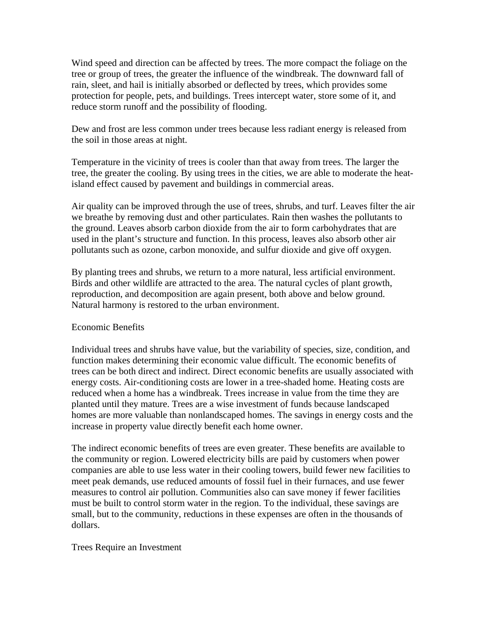Wind speed and direction can be affected by trees. The more compact the foliage on the tree or group of trees, the greater the influence of the windbreak. The downward fall of rain, sleet, and hail is initially absorbed or deflected by trees, which provides some protection for people, pets, and buildings. Trees intercept water, store some of it, and reduce storm runoff and the possibility of flooding.

Dew and frost are less common under trees because less radiant energy is released from the soil in those areas at night.

Temperature in the vicinity of trees is cooler than that away from trees. The larger the tree, the greater the cooling. By using trees in the cities, we are able to moderate the heatisland effect caused by pavement and buildings in commercial areas.

Air quality can be improved through the use of trees, shrubs, and turf. Leaves filter the air we breathe by removing dust and other particulates. Rain then washes the pollutants to the ground. Leaves absorb carbon dioxide from the air to form carbohydrates that are used in the plant's structure and function. In this process, leaves also absorb other air pollutants such as ozone, carbon monoxide, and sulfur dioxide and give off oxygen.

By planting trees and shrubs, we return to a more natural, less artificial environment. Birds and other wildlife are attracted to the area. The natural cycles of plant growth, reproduction, and decomposition are again present, both above and below ground. Natural harmony is restored to the urban environment.

# Economic Benefits

Individual trees and shrubs have value, but the variability of species, size, condition, and function makes determining their economic value difficult. The economic benefits of trees can be both direct and indirect. Direct economic benefits are usually associated with energy costs. Air-conditioning costs are lower in a tree-shaded home. Heating costs are reduced when a home has a windbreak. Trees increase in value from the time they are planted until they mature. Trees are a wise investment of funds because landscaped homes are more valuable than nonlandscaped homes. The savings in energy costs and the increase in property value directly benefit each home owner.

The indirect economic benefits of trees are even greater. These benefits are available to the community or region. Lowered electricity bills are paid by customers when power companies are able to use less water in their cooling towers, build fewer new facilities to meet peak demands, use reduced amounts of fossil fuel in their furnaces, and use fewer measures to control air pollution. Communities also can save money if fewer facilities must be built to control storm water in the region. To the individual, these savings are small, but to the community, reductions in these expenses are often in the thousands of dollars.

# Trees Require an Investment